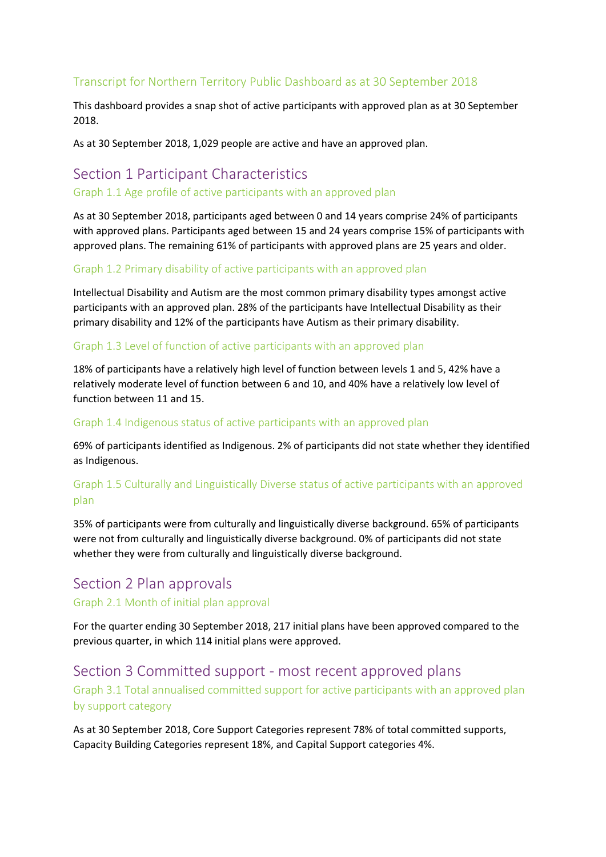# Transcript for Northern Territory Public Dashboard as at 30 September 2018

This dashboard provides a snap shot of active participants with approved plan as at 30 September 2018.

As at 30 September 2018, 1,029 people are active and have an approved plan.

# Section 1 Participant Characteristics

#### Graph 1.1 Age profile of active participants with an approved plan

As at 30 September 2018, participants aged between 0 and 14 years comprise 24% of participants with approved plans. Participants aged between 15 and 24 years comprise 15% of participants with approved plans. The remaining 61% of participants with approved plans are 25 years and older.

#### Graph 1.2 Primary disability of active participants with an approved plan

Intellectual Disability and Autism are the most common primary disability types amongst active participants with an approved plan. 28% of the participants have Intellectual Disability as their primary disability and 12% of the participants have Autism as their primary disability.

#### Graph 1.3 Level of function of active participants with an approved plan

18% of participants have a relatively high level of function between levels 1 and 5, 42% have a relatively moderate level of function between 6 and 10, and 40% have a relatively low level of function between 11 and 15.

#### Graph 1.4 Indigenous status of active participants with an approved plan

69% of participants identified as Indigenous. 2% of participants did not state whether they identified as Indigenous.

#### Graph 1.5 Culturally and Linguistically Diverse status of active participants with an approved plan

35% of participants were from culturally and linguistically diverse background. 65% of participants were not from culturally and linguistically diverse background. 0% of participants did not state whether they were from culturally and linguistically diverse background.

# Section 2 Plan approvals

#### Graph 2.1 Month of initial plan approval

For the quarter ending 30 September 2018, 217 initial plans have been approved compared to the previous quarter, in which 114 initial plans were approved.

# Section 3 Committed support - most recent approved plans Graph 3.1 Total annualised committed support for active participants with an approved plan

#### by support category

As at 30 September 2018, Core Support Categories represent 78% of total committed supports, Capacity Building Categories represent 18%, and Capital Support categories 4%.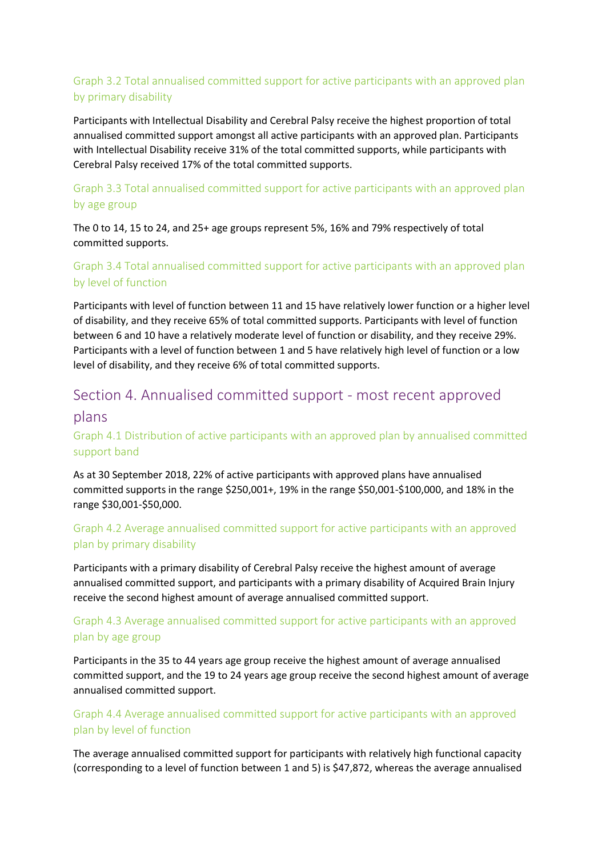# Graph 3.2 Total annualised committed support for active participants with an approved plan by primary disability

Participants with Intellectual Disability and Cerebral Palsy receive the highest proportion of total annualised committed support amongst all active participants with an approved plan. Participants with Intellectual Disability receive 31% of the total committed supports, while participants with Cerebral Palsy received 17% of the total committed supports.

## Graph 3.3 Total annualised committed support for active participants with an approved plan by age group

The 0 to 14, 15 to 24, and 25+ age groups represent 5%, 16% and 79% respectively of total committed supports.

## Graph 3.4 Total annualised committed support for active participants with an approved plan by level of function

Participants with level of function between 11 and 15 have relatively lower function or a higher level of disability, and they receive 65% of total committed supports. Participants with level of function between 6 and 10 have a relatively moderate level of function or disability, and they receive 29%. Participants with a level of function between 1 and 5 have relatively high level of function or a low level of disability, and they receive 6% of total committed supports.

# Section 4. Annualised committed support - most recent approved

#### plans

# Graph 4.1 Distribution of active participants with an approved plan by annualised committed support band

As at 30 September 2018, 22% of active participants with approved plans have annualised committed supports in the range \$250,001+, 19% in the range \$50,001-\$100,000, and 18% in the range \$30,001-\$50,000.

#### Graph 4.2 Average annualised committed support for active participants with an approved plan by primary disability

Participants with a primary disability of Cerebral Palsy receive the highest amount of average annualised committed support, and participants with a primary disability of Acquired Brain Injury receive the second highest amount of average annualised committed support.

## Graph 4.3 Average annualised committed support for active participants with an approved plan by age group

Participants in the 35 to 44 years age group receive the highest amount of average annualised committed support, and the 19 to 24 years age group receive the second highest amount of average annualised committed support.

#### Graph 4.4 Average annualised committed support for active participants with an approved plan by level of function

The average annualised committed support for participants with relatively high functional capacity (corresponding to a level of function between 1 and 5) is \$47,872, whereas the average annualised